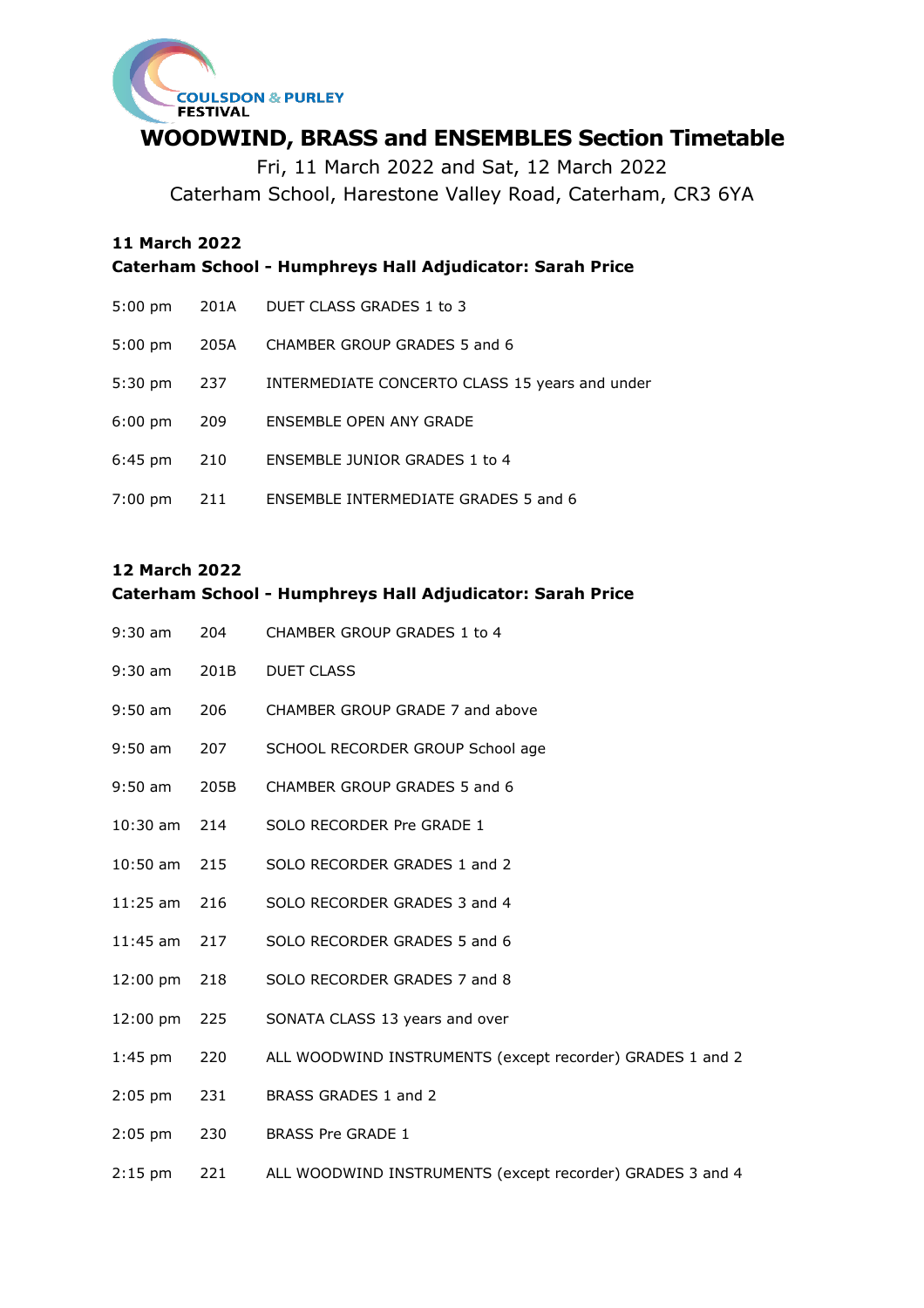

## **WOODWIND, BRASS and ENSEMBLES Section Timetable**

Fri, 11 March 2022 and Sat, 12 March 2022 Caterham School, Harestone Valley Road, Caterham, CR3 6YA

## **11 March 2022**

**Caterham School - Humphreys Hall Adjudicator: Sarah Price**

| $5:00 \text{ pm}$ |      | 201A DUET CLASS GRADES 1 to 3                  |
|-------------------|------|------------------------------------------------|
| $5:00 \text{ pm}$ | 205A | CHAMBER GROUP GRADES 5 and 6                   |
| $5:30 \text{ pm}$ | 237  | INTERMEDIATE CONCERTO CLASS 15 years and under |
| $6:00 \text{ pm}$ | 209  | ENSEMBLE OPEN ANY GRADE                        |
| $6:45 \text{ pm}$ | 210  | ENSEMBLE JUNIOR GRADES 1 to 4                  |
| $7:00 \text{ pm}$ | 211  | <b>ENSEMBLE INTERMEDIATE GRADES 5 and 6</b>    |

## **12 March 2022**

## **Caterham School - Humphreys Hall Adjudicator: Sarah Price**

| $9:30$ am          | 204  | CHAMBER GROUP GRADES 1 to 4                               |
|--------------------|------|-----------------------------------------------------------|
| $9:30$ am          | 201B | <b>DUET CLASS</b>                                         |
| $9:50$ am          | 206  | CHAMBER GROUP GRADE 7 and above                           |
| $9:50$ am          | 207  | SCHOOL RECORDER GROUP School age                          |
| $9:50$ am          | 205B | CHAMBER GROUP GRADES 5 and 6                              |
| 10:30 am           | 214  | SOLO RECORDER Pre GRADE 1                                 |
| $10:50$ am         | 215  | SOLO RECORDER GRADES 1 and 2                              |
| 11:25 am           | 216  | SOLO RECORDER GRADES 3 and 4                              |
| $11:45$ am         | 217  | SOLO RECORDER GRADES 5 and 6                              |
| $12:00 \text{ pm}$ | 218  | SOLO RECORDER GRADES 7 and 8                              |
| $12:00 \text{ pm}$ | 225  | SONATA CLASS 13 years and over                            |
| $1:45$ pm          | 220  | ALL WOODWIND INSTRUMENTS (except recorder) GRADES 1 and 2 |
| $2:05$ pm          | 231  | BRASS GRADES 1 and 2                                      |
| $2:05$ pm          | 230  | <b>BRASS Pre GRADE 1</b>                                  |
| $2:15$ pm          | 221  | ALL WOODWIND INSTRUMENTS (except recorder) GRADES 3 and 4 |